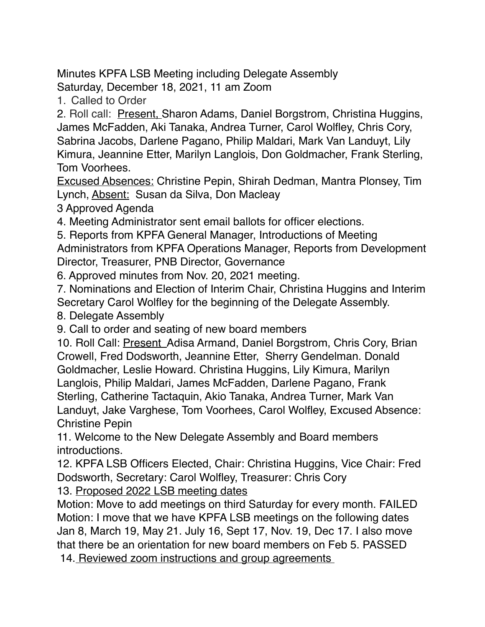Minutes KPFA LSB Meeting including Delegate Assembly Saturday, December 18, 2021, 11 am Zoom

1. Called to Order

2. Roll call: Present, Sharon Adams, Daniel Borgstrom, Christina Huggins, James McFadden, Aki Tanaka, Andrea Turner, Carol Wolfley, Chris Cory, Sabrina Jacobs, Darlene Pagano, Philip Maldari, Mark Van Landuyt, Lily Kimura, Jeannine Etter, Marilyn Langlois, Don Goldmacher, Frank Sterling, Tom Voorhees.

Excused Absences: Christine Pepin, Shirah Dedman, Mantra Plonsey, Tim Lynch, Absent: Susan da Silva, Don Macleay

3 Approved Agenda

4. Meeting Administrator sent email ballots for officer elections.

5. Reports from KPFA General Manager, Introductions of Meeting

Administrators from KPFA Operations Manager, Reports from Development Director, Treasurer, PNB Director, Governance

6. Approved minutes from Nov. 20, 2021 meeting.

7. Nominations and Election of Interim Chair, Christina Huggins and Interim Secretary Carol Wolfley for the beginning of the Delegate Assembly.

8. Delegate Assembly

9. Call to order and seating of new board members

10. Roll Call: Present Adisa Armand, Daniel Borgstrom, Chris Cory, Brian Crowell, Fred Dodsworth, Jeannine Etter, Sherry Gendelman. Donald Goldmacher, Leslie Howard. Christina Huggins, Lily Kimura, Marilyn Langlois, Philip Maldari, James McFadden, Darlene Pagano, Frank Sterling, Catherine Tactaquin, Akio Tanaka, Andrea Turner, Mark Van Landuyt, Jake Varghese, Tom Voorhees, Carol Wolfley, Excused Absence: Christine Pepin

11. Welcome to the New Delegate Assembly and Board members introductions.

12. KPFA LSB Officers Elected, Chair: Christina Huggins, Vice Chair: Fred Dodsworth, Secretary: Carol Wolfley, Treasurer: Chris Cory

13. Proposed 2022 LSB meeting dates

Motion: Move to add meetings on third Saturday for every month. FAILED Motion: I move that we have KPFA LSB meetings on the following dates Jan 8, March 19, May 21. July 16, Sept 17, Nov. 19, Dec 17. I also move that there be an orientation for new board members on Feb 5. PASSED

14. Reviewed zoom instructions and group agreements